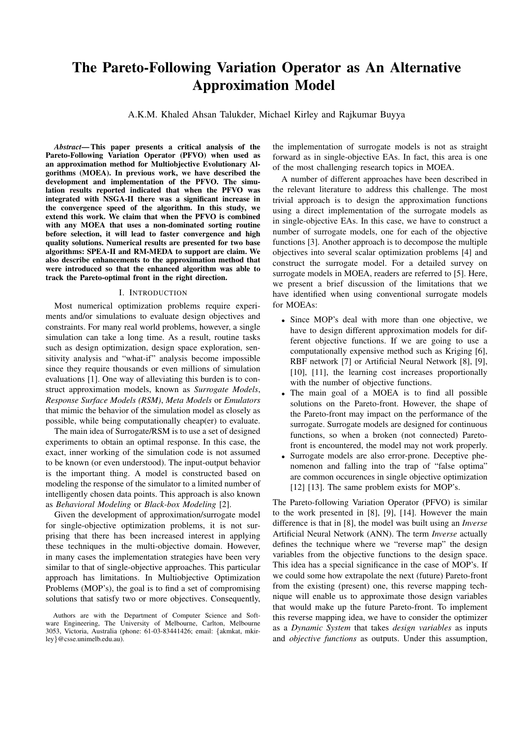# **The Pareto-Following Variation Operator as An Alternative Approximation Model**

A.K.M. Khaled Ahsan Talukder, Michael Kirley and Rajkumar Buyya

*Abstract***— This paper presents a critical analysis of the Pareto-Following Variation Operator (PFVO) when used as an approximation method for Multiobjective Evolutionary Algorithms (MOEA). In previous work, we have described the development and implementation of the PFVO. The simulation results reported indicated that when the PFVO was integrated with NSGA-II there was a significant increase in the convergence speed of the algorithm. In this study, we extend this work. We claim that when the PFVO is combined with any MOEA that uses a non-dominated sorting routine before selection, it will lead to faster convergence and high quality solutions. Numerical results are presented for two base algorithms: SPEA-II and RM-MEDA to support are claim. We also describe enhancements to the approximation method that were introduced so that the enhanced algorithm was able to track the Pareto-optimal front in the right direction.**

#### I. INTRODUCTION

Most numerical optimization problems require experiments and/or simulations to evaluate design objectives and constraints. For many real world problems, however, a single simulation can take a long time. As a result, routine tasks such as design optimization, design space exploration, sensitivity analysis and "what-if" analysis become impossible since they require thousands or even millions of simulation evaluations [1]. One way of alleviating this burden is to construct approximation models, known as *Surrogate Models*, *Response Surface Models (RSM)*, *Meta Models* or *Emulators* that mimic the behavior of the simulation model as closely as possible, while being computationally cheap(er) to evaluate.

The main idea of Surrogate/RSM is to use a set of designed experiments to obtain an optimal response. In this case, the exact, inner working of the simulation code is not assumed to be known (or even understood). The input-output behavior is the important thing. A model is constructed based on modeling the response of the simulator to a limited number of intelligently chosen data points. This approach is also known as *Behavioral Modeling* or *Black-box Modeling* [2].

Given the development of approximation/surrogate model for single-objective optimization problems, it is not surprising that there has been increased interest in applying these techniques in the multi-objective domain. However, in many cases the implementation strategies have been very similar to that of single-objective approaches. This particular approach has limitations. In Multiobjective Optimization Problems (MOP's), the goal is to find a set of compromising solutions that satisfy two or more objectives. Consequently,

the implementation of surrogate models is not as straight forward as in single-objective EAs. In fact, this area is one of the most challenging research topics in MOEA.

A number of different approaches have been described in the relevant literature to address this challenge. The most trivial approach is to design the approximation functions using a direct implementation of the surrogate models as in single-objective EAs. In this case, we have to construct a number of surrogate models, one for each of the objective functions [3]. Another approach is to decompose the multiple objectives into several scalar optimization problems [4] and construct the surrogate model. For a detailed survey on surrogate models in MOEA, readers are referred to [5]. Here, we present a brief discussion of the limitations that we have identified when using conventional surrogate models for MOEAs:

- Since MOP's deal with more than one objective, we have to design different approximation models for different objective functions. If we are going to use a computationally expensive method such as Kriging [6], RBF network [7] or Artificial Neural Network [8], [9], [10], [11], the learning cost increases proportionally with the number of objective functions.
- The main goal of a MOEA is to find all possible solutions on the Pareto-front. However, the shape of the Pareto-front may impact on the performance of the surrogate. Surrogate models are designed for continuous functions, so when a broken (not connected) Paretofront is encountered, the model may not work properly.
- Surrogate models are also error-prone. Deceptive phenomenon and falling into the trap of "false optima" are common occurences in single objective optimization [12] [13]. The same problem exists for MOP's.

The Pareto-following Variation Operator (PFVO) is similar to the work presented in [8], [9], [14]. However the main difference is that in [8], the model was built using an *Inverse* Artificial Neural Network (ANN). The term *Inverse* actually defines the technique where we "reverse map" the design variables from the objective functions to the design space. This idea has a special significance in the case of MOP's. If we could some how extrapolate the next (future) Pareto-front from the existing (present) one, this reverse mapping technique will enable us to approximate those design variables that would make up the future Pareto-front. To implement this reverse mapping idea, we have to consider the optimizer as a *Dynamic System* that takes *design variables* as inputs and *objective functions* as outputs. Under this assumption,

Authors are with the Department of Computer Science and Software Engineering, The University of Melbourne, Carlton, Melbourne 3053, Victoria, Australia (phone: 61-03-83441426; email: {akmkat, mkirley}@csse.unimelb.edu.au).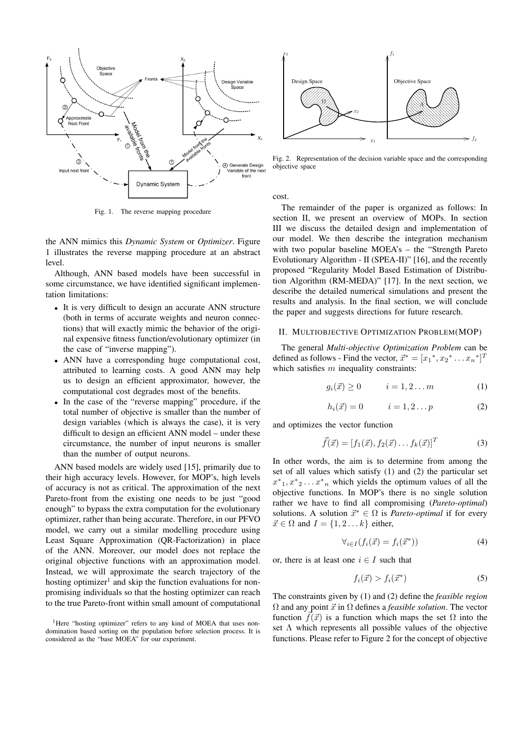

Fig. 1. The reverse mapping procedure

the ANN mimics this *Dynamic System* or *Optimizer*. Figure 1 illustrates the reverse mapping procedure at an abstract level.

Although, ANN based models have been successful in some circumstance, we have identified significant implementation limitations:

- It is very difficult to design an accurate ANN structure (both in terms of accurate weights and neuron connections) that will exactly mimic the behavior of the original expensive fitness function/evolutionary optimizer (in the case of "inverse mapping").
- ANN have a corresponding huge computational cost, attributed to learning costs. A good ANN may help us to design an efficient approximator, however, the computational cost degrades most of the benefits.
- In the case of the "reverse mapping" procedure, if the total number of objective is smaller than the number of design variables (which is always the case), it is very difficult to design an efficient ANN model – under these circumstance, the number of input neurons is smaller than the number of output neurons.

ANN based models are widely used [15], primarily due to their high accuracy levels. However, for MOP's, high levels of accuracy is not as critical. The approximation of the next Pareto-front from the existing one needs to be just "good enough" to bypass the extra computation for the evolutionary optimizer, rather than being accurate. Therefore, in our PFVO model, we carry out a similar modelling procedure using Least Square Approximation (QR-Factorization) in place of the ANN. Moreover, our model does not replace the original objective functions with an approximation model. Instead, we will approximate the search trajectory of the hosting optimizer<sup>1</sup> and skip the function evaluations for nonpromising individuals so that the hosting optimizer can reach to the true Pareto-front within small amount of computational

<sup>1</sup>Here "hosting optimizer" refers to any kind of MOEA that uses nondomination based sorting on the population before selection process. It is considered as the "base MOEA" for our experiment.



Fig. 2. Representation of the decision variable space and the corresponding objective space

cost.

The remainder of the paper is organized as follows: In section II, we present an overview of MOPs. In section III we discuss the detailed design and implementation of our model. We then describe the integration mechanism with two popular baseline MOEA's – the "Strength Pareto Evolutionary Algorithm - II (SPEA-II)" [16], and the recently proposed "Regularity Model Based Estimation of Distribution Algorithm (RM-MEDA)" [17]. In the next section, we describe the detailed numerical simulations and present the results and analysis. In the final section, we will conclude the paper and suggests directions for future research.

# II. MULTIOBJECTIVE OPTIMIZATION PROBLEM(MOP)

The general *Multi-objective Optimization Problem* can be defined as follows - Find the vector,  $\vec{x}^* = [x_1^*, x_2^* \dots x_n^*]^T$ which satisfies  $m$  inequality constraints:

$$
g_i(\vec{x}) \ge 0 \qquad i = 1, 2 \dots m \tag{1}
$$

$$
h_i(\vec{x}) = 0 \qquad i = 1, 2 \dots p \tag{2}
$$

and optimizes the vector function

$$
\vec{f}(\vec{x}) = [f_1(\vec{x}), f_2(\vec{x}) \dots f_k(\vec{x})]^T
$$
 (3)

In other words, the aim is to determine from among the set of all values which satisfy (1) and (2) the particular set  $x^*$ <sub>1</sub>,  $x^*$ <sub>2</sub>...  $x^*$ <sub>n</sub> which yields the optimum values of all the objective functions. In MOP's there is no single solution rather we have to find all compromising (*Pareto-optimal*) solutions. A solution  $\vec{x}^* \in \Omega$  is *Pareto-optimal* if for every  $\vec{x} \in \Omega$  and  $I = \{1, 2 \dots k\}$  either,

$$
\forall_{i \in I} (f_i(\vec{x}) = f_i(\vec{x}^*)) \tag{4}
$$

or, there is at least one  $i \in I$  such that

$$
f_i(\vec{x}) > f_i(\vec{x}^*)
$$
 (5)

The constraints given by (1) and (2) define the *feasible region*  $\Omega$  and any point  $\vec{x}$  in  $\Omega$  defines a *feasible solution*. The vector function  $\vec{f}(\vec{x})$  is a function which maps the set  $\Omega$  into the set Λ which represents all possible values of the objective functions. Please refer to Figure 2 for the concept of objective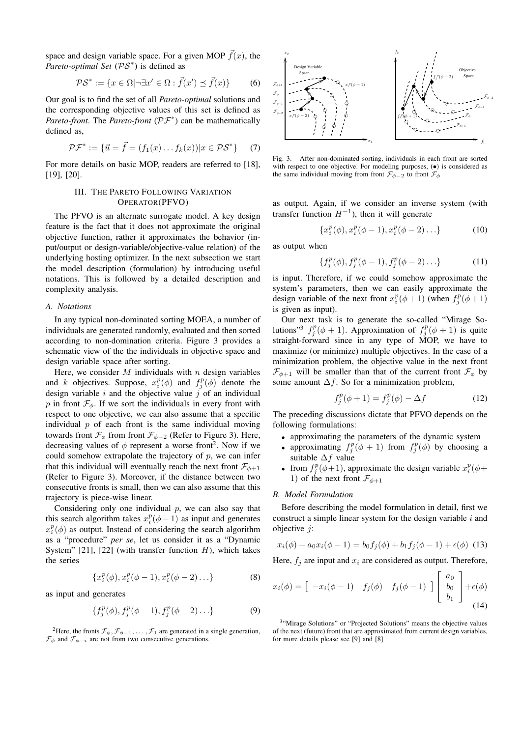space and design variable space. For a given MOP  $\vec{f}(x)$ , the *Pareto-optimal Set* ( $P S<sup>∗</sup>$ ) is defined as

$$
\mathcal{PS}^* := \{ x \in \Omega | \neg \exists x' \in \Omega : \vec{f}(x') \preceq \vec{f}(x) \} \tag{6}
$$

Our goal is to find the set of all *Pareto-optimal* solutions and the corresponding objective values of this set is defined as *Pareto-front*. The *Pareto-front* ( $PF<sup>∗</sup>$ ) can be mathematically defined as,

$$
\mathcal{PF}^* := \{ \vec{u} = \vec{f} = (f_1(x) \dots f_k(x)) | x \in \mathcal{PS}^* \} \tag{7}
$$

For more details on basic MOP, readers are referred to [18], [19], [20].

# III. THE PARETO FOLLOWING VARIATION OPERATOR(PFVO)

The PFVO is an alternate surrogate model. A key design feature is the fact that it does not approximate the original objective function, rather it approximates the behavior (input/output or design-variable/objective-value relation) of the underlying hosting optimizer. In the next subsection we start the model description (formulation) by introducing useful notations. This is followed by a detailed description and complexity analysis.

#### *A. Notations*

In any typical non-dominated sorting MOEA, a number of individuals are generated randomly, evaluated and then sorted according to non-domination criteria. Figure 3 provides a schematic view of the the individuals in objective space and design variable space after sorting.

Here, we consider  $M$  individuals with  $n$  design variables and k objectives. Suppose,  $x_i^p(\phi)$  and  $f_j^p(\phi)$  denote the design variable i and the objective value  $j$  of an individual p in front  $\mathcal{F}_{\phi}$ . If we sort the individuals in every front with respect to one objective, we can also assume that a specific individual  $p$  of each front is the same individual moving towards front  $\mathcal{F}_{\phi}$  from front  $\mathcal{F}_{\phi-2}$  (Refer to Figure 3). Here, decreasing values of  $\phi$  represent a worse front<sup>2</sup>. Now if we could somehow extrapolate the trajectory of  $p$ , we can infer that this individual will eventually reach the next front  $\mathcal{F}_{\phi+1}$ (Refer to Figure 3). Moreover, if the distance between two consecutive fronts is small, then we can also assume that this trajectory is piece-wise linear.

Considering only one individual  $p$ , we can also say that this search algorithm takes  $x_i^p(\phi - 1)$  as input and generates  $x_i^p(\phi)$  as output. Instead of considering the search algorithm as a "procedure" *per se*, let us consider it as a "Dynamic System" [21], [22] (with transfer function  $H$ ), which takes the series

$$
\{x_i^p(\phi), x_i^p(\phi - 1), x_i^p(\phi - 2) \ldots\}
$$
 (8)

as input and generates

$$
\{f_j^p(\phi), f_j^p(\phi - 1), f_j^p(\phi - 2) \ldots\}
$$
\n(9)

<sup>2</sup>Here, the fronts  $\mathcal{F}_{\phi}, \mathcal{F}_{\phi-1}, \ldots, \mathcal{F}_1$  are generated in a single generation,  $\mathcal{F}_{\phi}$  and  $\mathcal{F}_{\phi-i}$  are not from two consecutive generations.



Fig. 3. After non-dominated sorting, individuals in each front are sorted with respect to one objective. For modeling purposes, (•) is considered as the same individual moving from front  $\mathcal{F}_{\phi-2}$  to front  $\mathcal{F}_{\phi}$ 

as output. Again, if we consider an inverse system (with transfer function  $H^{-1}$ ), then it will generate

$$
\{x_i^p(\phi), x_i^p(\phi - 1), x_i^p(\phi - 2) \ldots\}
$$
 (10)

as output when

$$
\{f_j^p(\phi), f_j^p(\phi - 1), f_j^p(\phi - 2) \ldots\}
$$
 (11)

is input. Therefore, if we could somehow approximate the system's parameters, then we can easily approximate the design variable of the next front  $x_i^p(\phi+1)$  (when  $f_j^p(\phi+1)$ ) is given as input).

Our next task is to generate the so-called "Mirage Solutions<sup>3</sup>  $f_j^p(\phi + 1)$ . Approximation of  $f_j^p(\phi + 1)$  is quite straight-forward since in any type of MOP, we have to maximize (or minimize) multiple objectives. In the case of a minimization problem, the objective value in the next front  $\mathcal{F}_{\phi+1}$  will be smaller than that of the current front  $\mathcal{F}_{\phi}$  by some amount  $\Delta f$ . So for a minimization problem,

$$
f_j^p(\phi + 1) = f_j^p(\phi) - \Delta f \tag{12}
$$

The preceding discussions dictate that PFVO depends on the following formulations:

- approximating the parameters of the dynamic system
- approximating  $f_j^p(\phi + 1)$  from  $f_j^p(\phi)$  by choosing a suitable  $\Delta f$  value
- from  $f_j^p(\phi+1)$ , approximate the design variable  $x_i^p(\phi+1)$ 1) of the next front  $\mathcal{F}_{\phi+1}$

#### *B. Model Formulation*

Before describing the model formulation in detail, first we construct a simple linear system for the design variable  $i$  and objective j:

$$
x_i(\phi) + a_0 x_i(\phi - 1) = b_0 f_j(\phi) + b_1 f_j(\phi - 1) + \epsilon(\phi)
$$
 (13)

Here,  $f_i$  are input and  $x_i$  are considered as output. Therefore,

$$
x_i(\phi) = \begin{bmatrix} -x_i(\phi - 1) & f_j(\phi) & f_j(\phi - 1) \end{bmatrix} \begin{bmatrix} a_0 \\ b_0 \\ b_1 \end{bmatrix} + \epsilon(\phi)
$$
\n(14)

<sup>3</sup>"Mirage Solutions" or "Projected Solutions" means the objective values of the next (future) front that are approximated from current design variables, for more details please see [9] and [8]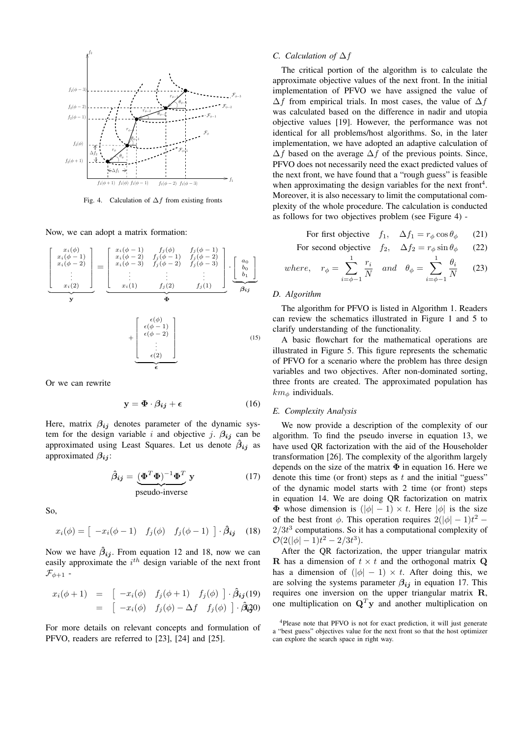

Fig. 4. Calculation of  $\Delta f$  from existing fronts

Now, we can adopt a matrix formation:

$$
\begin{bmatrix}\n x_i(\phi) \\
x_i(\phi-1) \\
x_i(\phi-2) \\
\vdots \\
x_i(2)\n\end{bmatrix} = \begin{bmatrix}\n x_i(\phi-1) & f_j(\phi) & f_j(\phi-1) \\
x_i(\phi-2) & f_j(\phi-1) & f_j(\phi-2) \\
x_i(\phi-3) & f_j(\phi-2) & f_j(\phi-3) \\
\vdots & \vdots & \vdots \\
x_i(1) & f_j(2) & f_j(1)\n\end{bmatrix} \cdot \begin{bmatrix}\na_0 \\
b_0 \\
b_1 \\
\vdots \\
b_i\n\end{bmatrix}
$$
\n
$$
\mathbf{y}
$$
\n
$$
+ \begin{bmatrix}\n \epsilon(\phi) \\
\epsilon(\phi-1) \\
\epsilon(\phi-2) \\
\vdots \\
\epsilon(2)\n\end{bmatrix}
$$
\n(15)

Or we can rewrite

$$
y = \Phi \cdot \beta_{ij} + \epsilon \tag{16}
$$

Here, matrix  $\beta_{ij}$  denotes parameter of the dynamic system for the design variable i and objective j.  $\beta_{ij}$  can be approximated using Least Squares. Let us denote *β***ˆ***ij* as approximated *βij* :

$$
\hat{\beta}_{ij} = \underbrace{(\mathbf{\Phi}^T \mathbf{\Phi})^{-1} \mathbf{\Phi}^T}_{\text{pseudo-inverse}} \mathbf{y}
$$
\n(17)

So,

$$
x_i(\phi) = \left[ -x_i(\phi - 1) \quad f_j(\phi) \quad f_j(\phi - 1) \right] \cdot \hat{\beta}_{ij} \quad (18)
$$

Now we have  $\hat{\beta}_{ij}$ . From equation 12 and 18, now we can easily approximate the  $i^{th}$  design variable of the next front  $\mathcal{F}_{\phi+1}$  -

$$
x_i(\phi + 1) = \begin{bmatrix} -x_i(\phi) & f_j(\phi + 1) & f_j(\phi) \end{bmatrix} \cdot \hat{\beta}_{ij}(19)
$$
  
=  $\begin{bmatrix} -x_i(\phi) & f_j(\phi) - \Delta f & f_j(\phi) \end{bmatrix} \cdot \hat{\beta}_{ij}(30)$ 

For more details on relevant concepts and formulation of PFVO, readers are referred to [23], [24] and [25].

## *C. Calculation of* Δf

The critical portion of the algorithm is to calculate the approximate objective values of the next front. In the initial implementation of PFVO we have assigned the value of  $\Delta f$  from empirical trials. In most cases, the value of  $\Delta f$ was calculated based on the difference in nadir and utopia objective values [19]. However, the performance was not identical for all problems/host algorithms. So, in the later implementation, we have adopted an adaptive calculation of  $\Delta f$  based on the average  $\Delta f$  of the previous points. Since, PFVO does not necessarily need the exact predicted values of the next front, we have found that a "rough guess" is feasible when approximating the design variables for the next front<sup>4</sup>. Moreover, it is also necessary to limit the computational complexity of the whole procedure. The calculation is conducted as follows for two objectives problem (see Figure 4) -

For first objective 
$$
f_1
$$
,  $\Delta f_1 = r_\phi \cos \theta_\phi$  (21)

For second objective 
$$
f_2
$$
,  $\Delta f_2 = r_{\phi} \sin \theta_{\phi}$  (22)

where, 
$$
r_{\phi} = \sum_{i=\phi-1}^{1} \frac{r_i}{N}
$$
 and  $\theta_{\phi} = \sum_{i=\phi-1}^{1} \frac{\theta_i}{N}$  (23)

### *D. Algorithm*

The algorithm for PFVO is listed in Algorithm 1. Readers can review the schematics illustrated in Figure 1 and 5 to clarify understanding of the functionality.

A basic flowchart for the mathematical operations are illustrated in Figure 5. This figure represents the schematic of PFVO for a scenario where the problem has three design variables and two objectives. After non-dominated sorting, three fronts are created. The approximated population has  $km_\phi$  individuals.

#### *E. Complexity Analysis*

We now provide a description of the complexity of our algorithm. To find the pseudo inverse in equation 13, we have used QR factorization with the aid of the Householder transformation [26]. The complexity of the algorithm largely depends on the size of the matrix **Φ** in equation 16. Here we denote this time (or front) steps as  $t$  and the initial "guess" of the dynamic model starts with 2 time (or front) steps in equation 14. We are doing QR factorization on matrix **Φ** whose dimension is  $(|\phi| - 1) \times t$ . Here  $|\phi|$  is the size of the best front  $\phi$ . This operation requires  $2(|\phi| - 1)t^2$  –  $2/3t<sup>3</sup>$  computations. So it has a computational complexity of  $\mathcal{O}(2(|\phi| - 1)t^2 - 2/3t^3).$ 

After the QR factorization, the upper triangular matrix **R** has a dimension of  $t \times t$  and the orthogonal matrix **Q** has a dimension of  $(|\phi| - 1) \times t$ . After doing this, we are solving the systems parameter  $\beta_{ij}$  in equation 17. This requires one inversion on the upper triangular matrix **R**, one multiplication on  $Q^T y$  and another multiplication on

<sup>&</sup>lt;sup>4</sup>Please note that PFVO is not for exact prediction, it will just generate a "best guess" objectives value for the next front so that the host optimizer can explore the search space in right way.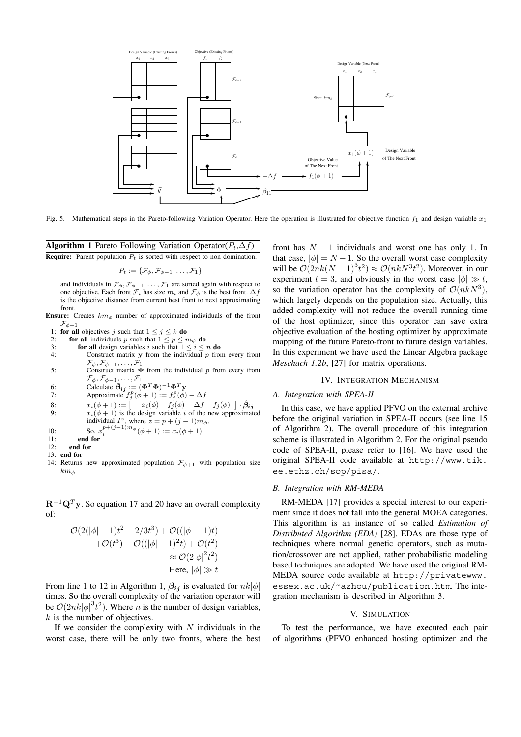

Fig. 5. Mathematical steps in the Pareto-following Variation Operator. Here the operation is illustrated for objective function  $f_1$  and design variable  $x_1$ 

**Algorithm 1** Pareto Following Variation Operator( $P_t$ , $\Delta f$ ) **Require:** Parent population  $P_t$  is sorted with respect to non domination.

$$
P_t := \{ \mathcal{F}_{\phi}, \mathcal{F}_{\phi-1}, \dots, \mathcal{F}_1 \}
$$

and individuals in  $\mathcal{F}_{\phi}, \mathcal{F}_{\phi-1}, \ldots, \mathcal{F}_1$  are sorted again with respect to one objective. Each front  $\mathcal{F}_i$  has size  $m_i$  and  $\mathcal{F}_{\phi}$  is the best front.  $\Delta f$ is the objective distance from current best front to next approximating front.

**Ensure:** Creates  $km_\phi$  number of approximated individuals of the front  $\mathcal{F}_{\phi+1}$ 

1: **for all** objectives j such that  $1 \leq j \leq k$  **do**<br>2: **for all** individuals p such that  $1 \leq p \leq n$ 

- 2: **for all** individuals p such that  $1 \leq p \leq m_{\phi}$  **do**<br>3: **for all** design variables i such that  $1 \leq i \leq$
- **for all** design variables i such that  $1 \leq i \leq n$  **do**
- 4: Construct matrix **y** from the individual p from every front  $\mathcal{F}_{\phi}, \mathcal{F}_{\phi-1}, \ldots, \mathcal{F}_{\phi}$
- 5: Construct matrix **Φ** from the individual p from every front  $\mathcal{F}_{\phi}, \mathcal{F}_{\phi-1}, \ldots, \mathcal{F}_{1}$

6: Calculate  $\hat{\beta}_{ij} := (\mathbf{\Phi}^T \mathbf{\Phi})^{-1} \mathbf{\Phi}^T \mathbf{y}$ 

7: Approximate 
$$
f_j^p(\phi + 1) := f_j^p(\phi) - \Delta f
$$

- 8:  $x_i(\phi+1) := \begin{bmatrix} -x_i(\phi) & f_j(\phi) \Delta f & f_j(\phi) \end{bmatrix} \cdot \hat{\boldsymbol{\beta}}_{ij}$ 9:  $x_i(\phi + 1)$  is the design variable i of the new approximated
- individual  $I^z$ , where  $z = p + (j 1)m_\phi$ .
- 10: So,  $x_i^{p+(j-1)m_\phi}(\phi+1) := x_i(\phi+1)$
- 11: **end for**
- end for
- 13: **end for**
- 14: Returns new approximated population  $\mathcal{F}_{\phi+1}$  with population size  $km<sub>φ</sub>$

 $\mathbf{R}^{-1}\mathbf{Q}^T\mathbf{y}$ . So equation 17 and 20 have an overall complexity of:

$$
\mathcal{O}(2(|\phi|-1)t^2 - 2/3t^3) + \mathcal{O}((|\phi|-1)t)
$$
  
+
$$
\mathcal{O}(t^3) + \mathcal{O}((|\phi|-1)^2t) + \mathcal{O}(t^2)
$$
  

$$
\approx \mathcal{O}(2|\phi|^2t^2)
$$
  
Here,  $|\phi| \gg t$ 

From line 1 to 12 in Algorithm 1,  $\beta_{ij}$  is evaluated for  $nk|\phi|$ times. So the overall complexity of the variation operator will be  $\mathcal{O}(2nk|\phi|^3 t^2)$ . Where *n* is the number of design variables,  $k$  is the number of objectives.

If we consider the complexity with  $N$  individuals in the worst case, there will be only two fronts, where the best front has  $N - 1$  individuals and worst one has only 1. In that case,  $|\phi| = N - 1$ . So the overall worst case complexity will be  $\mathcal{O}(2nk(N-1)^3t^2) \approx \mathcal{O}(nkN^3t^2)$ . Moreover, in our experiment  $t = 3$ , and obviously in the worst case  $|\phi| \gg t$ , so the variation operator has the complexity of  $\mathcal{O}(nkN^3)$ , which largely depends on the population size. Actually, this added complexity will not reduce the overall running time of the host optimizer, since this operator can save extra objective evaluation of the hosting optimizer by approximate mapping of the future Pareto-front to future design variables. In this experiment we have used the Linear Algebra package *Meschach 1.2b*, [27] for matrix operations.

## IV. INTEGRATION MECHANISM

## *A. Integration with SPEA-II*

In this case, we have applied PFVO on the external archive before the original variation in SPEA-II occurs (see line 15 of Algorithm 2). The overall procedure of this integration scheme is illustrated in Algorithm 2. For the original pseudo code of SPEA-II, please refer to [16]. We have used the original SPEA-II code available at http://www.tik. ee.ethz.ch/sop/pisa/.

#### *B. Integration with RM-MEDA*

RM-MEDA [17] provides a special interest to our experiment since it does not fall into the general MOEA categories. This algorithm is an instance of so called *Estimation of Distributed Algorithm (EDA)* [28]. EDAs are those type of techniques where normal genetic operators, such as mutation/crossover are not applied, rather probabilistic modeling based techniques are adopted. We have used the original RM-MEDA source code available at http://privatewww. essex.ac.uk/˜azhou/publication.htm. The integration mechanism is described in Algorithm 3.

#### V. SIMULATION

To test the performance, we have executed each pair of algorithms (PFVO enhanced hosting optimizer and the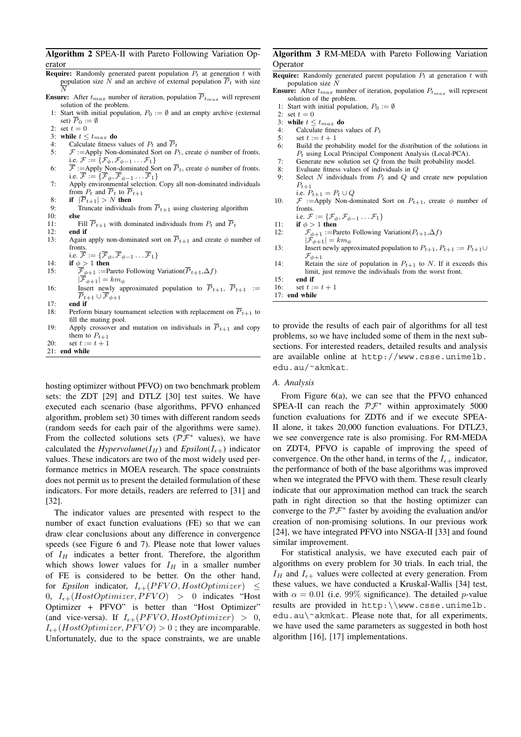# **Algorithm 2** SPEA-II with Pareto Following Variation Operator

- **Require:** Randomly generated parent population  $P_t$  at generation  $t$  with population size  $\tilde{N}$  and an archive of external population  $\overline{P}_t$  with size N
- **Ensure:** After  $t_{max}$  number of iteration, population  $\overline{P}_{t_{max}}$  will represent solution of the problem.
- 1: Start with initial population,  $P_0 := \emptyset$  and an empty archive (external set)  $\overline{P}_0 := \emptyset$
- 2: set  $t=0$
- 3: **while**  $t \leq t_{max}$  **do**<br>4: Calculate fitness
- 4: Calculate fitness values of  $P_t$  and  $\overline{P}_t$ <br>5:  $\mathcal{F}$  :=Apply Non-dominated Sort on *F*
- $\mathcal{F}$  :=Apply Non-dominated Sort on  $P_t$ , create  $\phi$  number of fronts. i.e.  $\mathcal{F} := \{ \mathcal{F}_{\phi}, \mathcal{F}_{\phi-1} \dots \mathcal{F}_1 \}$
- 6:  $\overline{\mathcal{F}}$  :=Apply Non-dominated Sort on  $\overline{P}_t$ , create  $\phi$  number of fronts. i.e.  $\overline{\mathcal{F}} := {\overline{\mathcal{F}}_{\phi}, \overline{\mathcal{F}}_{\phi-1} \dots \overline{\mathcal{F}}_1}$
- 7: Apply environmental selection. Copy all non-dominated individuals from  $P_t$  and  $P_t$  to  $P_{t+1}$
- 8: **if**  $|P_{t+1}| > N$  **then**
- 9: Truncate individuals from  $\overline{P}_{t+1}$  using clustering algorithm 10: **else**
- 10: **else**
- 11: Fill  $\overline{P}_{t+1}$  with dominated individuals from  $P_t$  and  $\overline{P}_t$
- 12: **end if**<br> $13$  **Again** Again apply non-dominated sort on  $\overline{P}_{t+1}$  and create  $\phi$  number of fronts.
	- i.e.  $\mathcal{F} := \{ \mathcal{F}_{\phi}, \mathcal{F}_{\phi-1} \dots \mathcal{F}_1 \}$
- 14: **if**  $\phi > 1$  **then**
- 15:  $\mathcal{F}_{\phi+1}$  :=Pareto Following Variation( $P_{t+1}, \Delta f$ )
- $|\overline{\mathcal{F}}_{\phi+1}| = km_\phi$ 16: Insert newly approximated population to  $\overline{P}_{t+1}$ ,  $\overline{P}_{t+1}$  :=  $\overline{P}_{t+1} \cup \overline{\mathcal{F}}_{\phi+1}$
- 
- 17: **end if** Perform binary tournament selection with replacement on  $\overline{P}_{t+1}$  to fill the mating pool.
- 19: Apply crossover and mutation on individuals in  $\overline{P}_{t+1}$  and copy them to  $P_{t+1}$
- 20: set  $t := t + 1$ 21: **end while**

hosting optimizer without PFVO) on two benchmark problem sets: the ZDT [29] and DTLZ [30] test suites. We have executed each scenario (base algorithms, PFVO enhanced algorithm, problem set) 30 times with different random seeds (random seeds for each pair of the algorithms were same). From the collected solutions sets ( $\mathcal{PF}^*$  values), we have calculated the *Hypervolume*( $I_H$ ) and *Epsilon*( $I_{\epsilon+}$ ) indicator values. These indicators are two of the most widely used performance metrics in MOEA research. The space constraints does not permit us to present the detailed formulation of these indicators. For more details, readers are referred to [31] and [32].

The indicator values are presented with respect to the number of exact function evaluations (FE) so that we can draw clear conclusions about any difference in convergence speeds (see Figure 6 and 7). Please note that lower values of  $I_H$  indicates a better front. Therefore, the algorithm which shows lower values for  $I_H$  in a smaller number of FE is considered to be better. On the other hand, for *Epsilon* indicator,  $I_{\epsilon+}(PFVO, HostOptimizer) \leq$ 0,  $I_{\epsilon+}(HostOptimizer, PFVO) > 0$  indicates "Host Optimizer + PFVO" is better than "Host Optimizer" (and vice-versa). If  $I_{\epsilon+}(PFVO, HostOptimizer) > 0$ ,  $I_{\epsilon+}(HostOptimizer, PFVO) > 0$ ; they are incomparable. Unfortunately, due to the space constraints, we are unable

# **Algorithm 3** RM-MEDA with Pareto Following Variation **Operator**

- **Require:** Randomly generated parent population  $P_t$  at generation  $t$  with population size N
- **Ensure:** After  $t_{max}$  number of iteration, population  $P_{t_{max}}$  will represent solution of the problem.
	- 1: Start with initial population,  $P_0 := \emptyset$ <br>2: set  $t = 0$
- 2: set  $t = 0$ <br>3: while  $t <$
- 
- 3: **while**  $t \leq t_{max}$  **do**<br>4: Calculate fitness 4: Calculate fitness values of  $P_t$ <br>5: set  $t := t + 1$
- set  $t := t + 1$
- 6: Build the probability model for the distribution of the solutions in P<sup>t</sup> using Local Principal Component Analysis (Local-PCA).
- 7: Generate new solution set  $Q$  from the built probability model.<br>8: Evaluate fitness values of individuals in  $Q$
- 8: Evaluate fitness values of individuals in  $Q$ <br>9: Select N individuals from  $P_t$  and  $Q$  and
- Select  $N$  individuals from  $P_t$  and  $Q$  and create new population  $P_{t+1}$
- i.e.  $P_{t+1} = P_t \cup Q$
- 10:  $\mathcal{F}$  :=Apply Non-dominated Sort on  $P_{t+1}$ , create  $\phi$  number of fronts.  $\mathcal{F}_{\phi}, \mathcal{F}_{\phi-1} \ldots \mathcal{F}_1\}$

i.e. 
$$
\mathcal{F} := \{
$$
.

11: if 
$$
\phi > 1
$$
 then  
12:  $\mathcal{F}_{\phi+1} :=$  Pareto Following Variation $(P_{t+1}, \Delta f)$ 

- $|\mathcal{F}_{\phi+1}| = km_{\phi}$
- 13: Insert newly approximated population to  $P_{t+1}$ ,  $P_{t+1} := P_{t+1} \cup$  $\mathcal{F}_{\phi+1}$
- 14: Retain the size of population in  $P_{t+1}$  to N. If it exceeds this limit, just remove the individuals from the worst front.

15: **end if**

- 16: set  $t := t + 1$
- 17: **end while**

to provide the results of each pair of algorithms for all test problems, so we have included some of them in the next subsections. For interested readers, detailed results and analysis are available online at http://www.csse.unimelb. edu.au/˜akmkat.

## *A. Analysis*

From Figure 6(a), we can see that the PFVO enhanced SPEA-II can reach the  $\mathcal{PF}^*$  within approximately 5000 function evaluations for ZDT6 and if we execute SPEA-II alone, it takes 20,000 function evaluations. For DTLZ3, we see convergence rate is also promising. For RM-MEDA on ZDT4, PFVO is capable of improving the speed of convergence. On the other hand, in terms of the  $I_{\epsilon+}$  indicator, the performance of both of the base algorithms was improved when we integrated the PFVO with them. These result clearly indicate that our approximation method can track the search path in right direction so that the hosting optimizer can converge to the  $\mathcal{PF}^*$  faster by avoiding the evaluation and/or creation of non-promising solutions. In our previous work [24], we have integrated PFVO into NSGA-II [33] and found similar improvement.

For statistical analysis, we have executed each pair of algorithms on every problem for 30 trials. In each trial, the  $I_H$  and  $I_{\epsilon+}$  values were collected at every generation. From these values, we have conducted a Kruskal-Wallis [34] test, with  $\alpha = 0.01$  (i.e. 99% significance). The detailed p-value results are provided in http:\\www.csse.unimelb. edu.au\˜akmkat. Please note that, for all experiments, we have used the same parameters as suggested in both host algorithm [16], [17] implementations.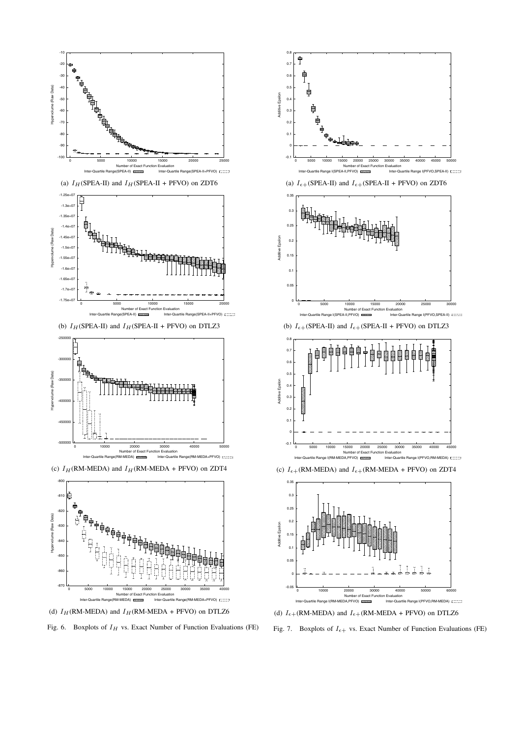

(b)  $I_H(SPEA-II)$  and  $I_H(SPEA-II + PFVO)$  on DTLZ3

Number of Exact Function Evaluation

|<br>PEA-II+PFVO) (SSSES



(c)  $I_H$ (RM-MEDA) and  $I_H$ (RM-MEDA + PFVO) on ZDT4



(d)  $I_H(RM-MEDA)$  and  $I_H(RM-MEDA + PFVO)$  on DTLZ6

Fig. 6. Boxplots of  $I_H$  vs. Exact Number of Function Evaluations (FE)





(d)  $I_{\epsilon+}$ (RM-MEDA) and  $I_{\epsilon+}$ (RM-MEDA + PFVO) on DTLZ6

Fig. 7. Boxplots of  $I_{\epsilon+}$  vs. Exact Number of Function Evaluations (FE)